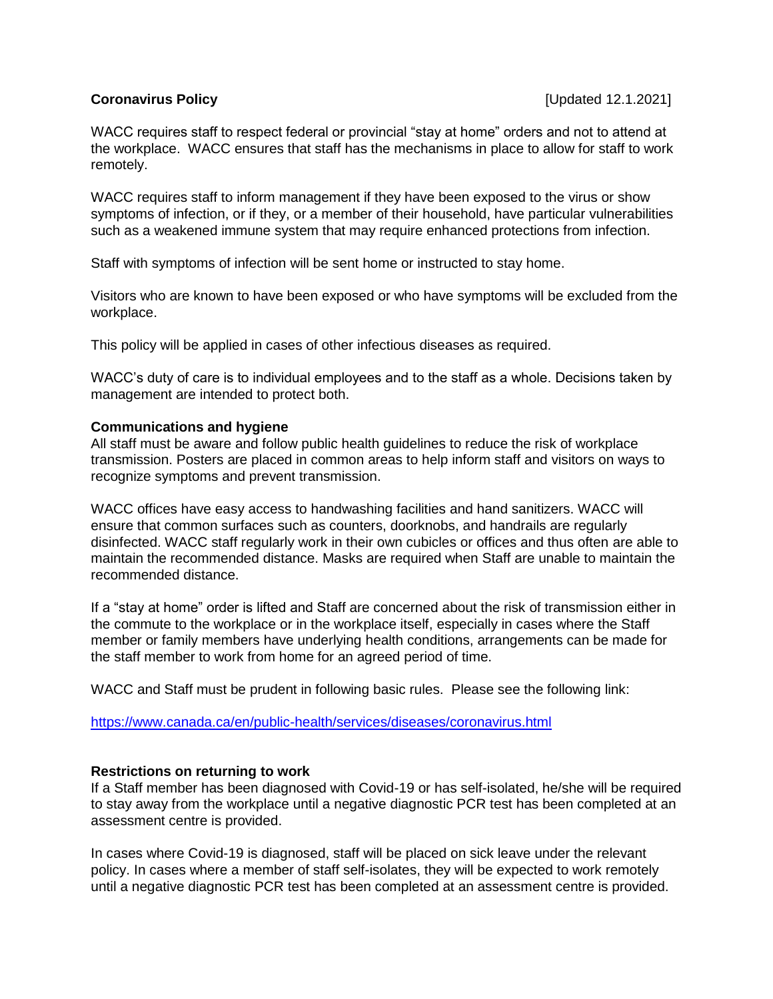# **Coronavirus Policy Coronavirus Policy Coronavirus Policy Coronavirus Policy Coronavirus Policy Coronavirus Coronavirus Policy Coronavirus Policy Coronavirus Policy Coronavirus Policy Coronavirus Policy**

WACC requires staff to respect federal or provincial "stay at home" orders and not to attend at the workplace. WACC ensures that staff has the mechanisms in place to allow for staff to work remotely.

WACC requires staff to inform management if they have been exposed to the virus or show symptoms of infection, or if they, or a member of their household, have particular vulnerabilities such as a weakened immune system that may require enhanced protections from infection.

Staff with symptoms of infection will be sent home or instructed to stay home.

Visitors who are known to have been exposed or who have symptoms will be excluded from the workplace.

This policy will be applied in cases of other infectious diseases as required.

WACC's duty of care is to individual employees and to the staff as a whole. Decisions taken by management are intended to protect both.

# **Communications and hygiene**

All staff must be aware and follow public health guidelines to reduce the risk of workplace transmission. Posters are placed in common areas to help inform staff and visitors on ways to recognize symptoms and prevent transmission.

WACC offices have easy access to handwashing facilities and hand sanitizers. WACC will ensure that common surfaces such as counters, doorknobs, and handrails are regularly disinfected. WACC staff regularly work in their own cubicles or offices and thus often are able to maintain the recommended distance. Masks are required when Staff are unable to maintain the recommended distance.

If a "stay at home" order is lifted and Staff are concerned about the risk of transmission either in the commute to the workplace or in the workplace itself, especially in cases where the Staff member or family members have underlying health conditions, arrangements can be made for the staff member to work from home for an agreed period of time.

WACC and Staff must be prudent in following basic rules. Please see the following link:

<https://www.canada.ca/en/public-health/services/diseases/coronavirus.html>

### **Restrictions on returning to work**

If a Staff member has been diagnosed with Covid-19 or has self-isolated, he/she will be required to stay away from the workplace until a negative diagnostic PCR test has been completed at an assessment centre is provided.

In cases where Covid-19 is diagnosed, staff will be placed on sick leave under the relevant policy. In cases where a member of staff self-isolates, they will be expected to work remotely until a negative diagnostic PCR test has been completed at an assessment centre is provided.